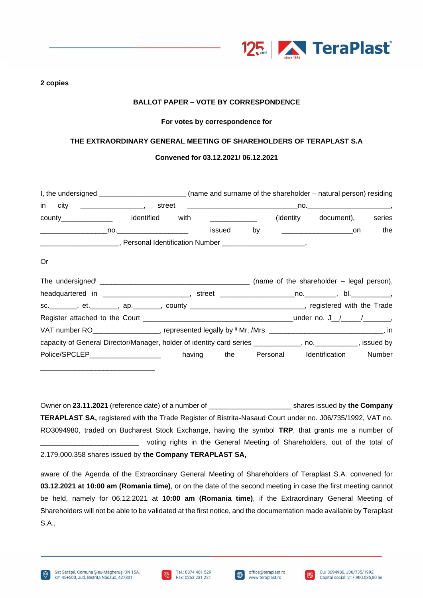

**2 copies** 

# **BALLOT PAPER – VOTE BY CORRESPONDENCE**

### **For votes by correspondence for**

### **THE EXTRAORDINARY GENERAL MEETING OF SHAREHOLDERS OF TERAPLAST S.A**

## **Convened for 03.12.2021/ 06.12.2021**

|    |  | I, the undersigned _________________________(name and surname of the shareholder – natural person) residing           |  |  |  |  |  |                                    |        |
|----|--|-----------------------------------------------------------------------------------------------------------------------|--|--|--|--|--|------------------------------------|--------|
|    |  |                                                                                                                       |  |  |  |  |  |                                    |        |
|    |  | county________________ identified with _____________                                                                  |  |  |  |  |  | (identity document),               | series |
|    |  |                                                                                                                       |  |  |  |  |  |                                    | the    |
|    |  | _______________________________, Personal Identification Number _____________________________,                        |  |  |  |  |  |                                    |        |
| 0r |  |                                                                                                                       |  |  |  |  |  |                                    |        |
|    |  |                                                                                                                       |  |  |  |  |  |                                    |        |
|    |  |                                                                                                                       |  |  |  |  |  |                                    |        |
|    |  | sc. _______, et. _______, ap. _______, county ______________________________, registered with the Trade               |  |  |  |  |  |                                    |        |
|    |  |                                                                                                                       |  |  |  |  |  |                                    |        |
|    |  | VAT number RO___________________, represented legally by $\frac{1}{10}$ Mr. /Mrs. _______________________________, in |  |  |  |  |  |                                    |        |
|    |  | capacity of General Director/Manager, holder of identity card series ___________, no. _________, issued by            |  |  |  |  |  |                                    |        |
|    |  | Police/SPCLEP_____________________                                                                                    |  |  |  |  |  | having the Personal Identification | Number |

Owner on **23.11.2021** (reference date) of a number of \_\_\_\_\_\_\_\_\_\_\_\_\_\_\_\_\_\_\_\_\_ shares issued by **the Company TERAPLAST SA,** registered with the Trade Register of Bistrita-Nasaud Court under no. J06/735/1992, VAT no. RO3094980, traded on Bucharest Stock Exchange, having the symbol **TRP**, that grants me a number of voting rights in the General Meeting of Shareholders, out of the total of 2.179.000.358 shares issued by **the Company TERAPLAST SA,**

aware of the Agenda of the Extraordinary General Meeting of Shareholders of Teraplast S.A. convened for **03.12.2021 at 10:00 am (Romania time)**, or on the date of the second meeting in case the first meeting cannot be held, namely for 06.12.2021 at **10:00 am (Romania time)**, if the Extraordinary General Meeting of Shareholders will not be able to be validated at the first notice, and the documentation made available by Teraplast S.A.,

\_\_\_\_\_\_\_\_\_\_\_\_\_\_\_\_\_\_\_\_\_\_\_\_\_\_\_\_\_





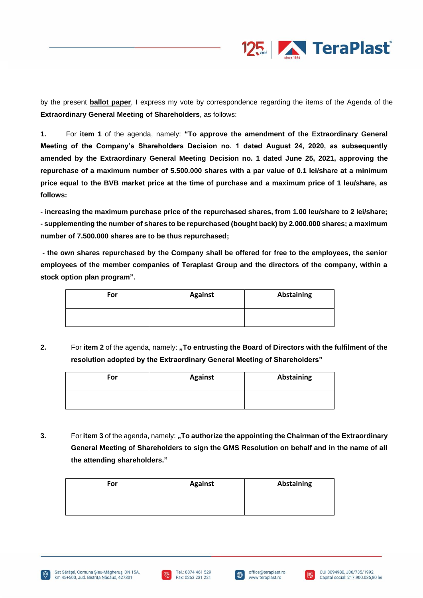

by the present **ballot paper**, I express my vote by correspondence regarding the items of the Agenda of the **Extraordinary General Meeting of Shareholders**, as follows:

**1.** For **item 1** of the agenda, namely: **"To approve the amendment of the Extraordinary General Meeting of the Company's Shareholders Decision no. 1 dated August 24, 2020, as subsequently amended by the Extraordinary General Meeting Decision no. 1 dated June 25, 2021, approving the repurchase of a maximum number of 5.500.000 shares with a par value of 0.1 lei/share at a minimum price equal to the BVB market price at the time of purchase and a maximum price of 1 leu/share, as follows:** 

**- increasing the maximum purchase price of the repurchased shares, from 1.00 leu/share to 2 lei/share; - supplementing the number of shares to be repurchased (bought back) by 2.000.000 shares; a maximum number of 7.500.000 shares are to be thus repurchased;**

**- the own shares repurchased by the Company shall be offered for free to the employees, the senior employees of the member companies of Teraplast Group and the directors of the company, within a stock option plan program".**

| For | <b>Against</b> | Abstaining |
|-----|----------------|------------|
|     |                |            |

**2.** For item 2 of the agenda, namely: **"To entrusting the Board of Directors with the fulfilment of the resolution adopted by the Extraordinary General Meeting of Shareholders"**

| For | <b>Against</b> | <b>Abstaining</b> |
|-----|----------------|-------------------|
|     |                |                   |

**3.** For **item 3** of the agenda, namely: **"To authorize the appointing the Chairman of the Extraordinary General Meeting of Shareholders to sign the GMS Resolution on behalf and in the name of all the attending shareholders."**

| For | <b>Against</b> | <b>Abstaining</b> |
|-----|----------------|-------------------|
|     |                |                   |







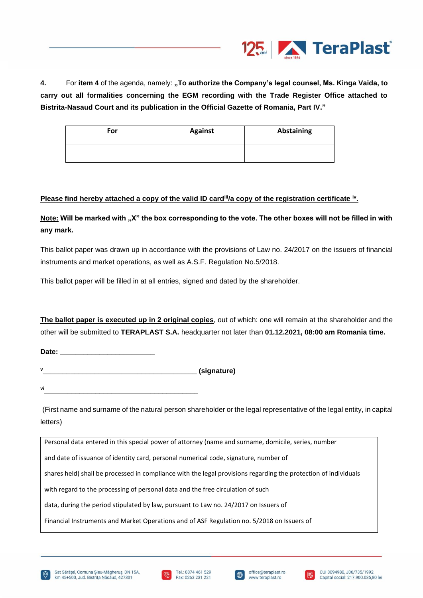

**4.** For **item 4** of the agenda, namely: **"To authorize the Company's legal counsel, Ms. Kinga Vaida, to carry out all formalities concerning the EGM recording with the Trade Register Office attached to Bistrita-Nasaud Court and its publication in the Official Gazette of Romania, Part IV."**

| For | <b>Against</b> | Abstaining |
|-----|----------------|------------|
|     |                |            |

#### **Please find hereby attached a copy of the valid ID card<sup>ii</sup>/a copy of the registration certificate <sup>iv</sup>.**

Note: Will be marked with "X" the box corresponding to the vote. The other boxes will not be filled in with **any mark.** 

This ballot paper was drawn up in accordance with the provisions of Law no. 24/2017 on the issuers of financial instruments and market operations, as well as A.S.F. Regulation No.5/2018.

This ballot paper will be filled in at all entries, signed and dated by the shareholder.

**The ballot paper is executed up in 2 original copies**, out of which: one will remain at the shareholder and the other will be submitted to **TERAPLAST S.A.** headquarter not later than **01.12.2021, 08:00 am Romania time.** 

Date:

**<sup>v</sup>\_\_\_\_\_\_\_\_\_\_\_\_\_\_\_\_\_\_\_\_\_\_\_\_\_\_\_\_\_\_\_\_\_\_\_\_\_\_\_ (signature)**

**vi\_\_\_\_\_\_\_\_\_\_\_\_\_\_\_\_\_\_\_\_\_\_\_\_\_\_\_\_\_\_\_\_\_\_\_\_\_\_\_**

(First name and surname of the natural person shareholder or the legal representative of the legal entity, in capital letters)

Personal data entered in this special power of attorney (name and surname, domicile, series, number

and date of issuance of identity card, personal numerical code, signature, number of

shares held) shall be processed in compliance with the legal provisions regarding the protection of individuals

with regard to the processing of personal data and the free circulation of such

data, during the period stipulated by law, pursuant to Law no. 24/2017 on Issuers of

Financial Instruments and Market Operations and of ASF Regulation no. 5/2018 on Issuers of